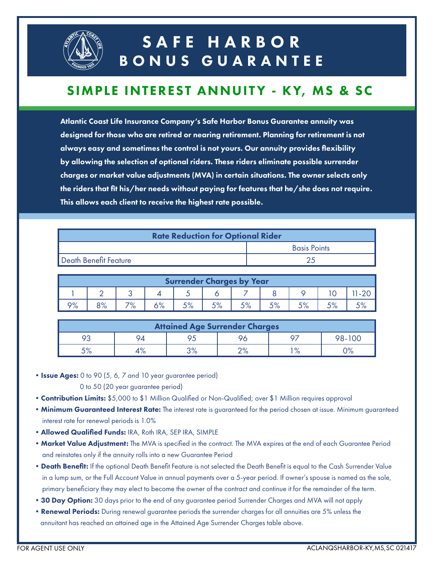

## SAFE HARBOR BONUS GUARANTEE

### SIMPLE INTEREST ANNUITY - KY, MS & SC

Atlantic Coast Life Insurance Company's Safe Harbor Bonus Guarantee annuity was designed for those who are retired or nearing retirement. Planning for retirement is not always easy and sometimes the control is not yours. Our annuity provides flexibility by allowing the selection of optional riders. These riders eliminate possible surrender charges or market value adjustments (MVA) in certain situations. The owner selects only the riders that fit his/her needs without paying for features that he/she does not require. This allows each client to receive the highest rate possible.

| <b>Rate Reduction for Optional Rider</b> |                     |  |  |  |  |
|------------------------------------------|---------------------|--|--|--|--|
|                                          | <b>Basis Points</b> |  |  |  |  |
| Death Benefit Feature                    |                     |  |  |  |  |

| <b>Surrender Charges by Year</b> |    |     |        |    |            |     |     |      |  |  |
|----------------------------------|----|-----|--------|----|------------|-----|-----|------|--|--|
|                                  |    |     |        |    |            |     |     |      |  |  |
| 9%                               | 8% | 70/ | $O$ /o | 5% | <b>EO/</b> | EO/ | EO/ | E O/ |  |  |

| <b>Attained Age Surrender Charges</b> |    |              |             |      |        |  |  |  |
|---------------------------------------|----|--------------|-------------|------|--------|--|--|--|
| ດາ                                    |    |              |             | 67   | 98-100 |  |  |  |
| 50)<br>' /o                           | 70 | /ס ר<br>ס⁄ ( | no/<br>. /o | 1 O/ |        |  |  |  |

• Issue Ages: 0 to 90 (5, 6, 7 and 10 year guarantee period)

0 to 50 (20 year guarantee period)

- Contribution Limits: \$5,000 to \$1 Million Qualified or Non-Qualified; over \$1 Million requires approval
- Minimum Guaranteed Interest Rate: The interest rate is guaranteed for the period chosen at issue. Minimum guaranteed interest rate for renewal periods is 1.0%
- •Allowed Qualified Funds: IRA, Roth IRA, SEP IRA, SIMPLE
- Market Value Adjustment: The MVA is specified in the contract. The MVA expires at the end of each Guarantee Period and reinstates only if the annuity rolls into a new Guarantee Period
- Death Benefit: If the optional Death Benefit Feature is not selected the Death Benefit is equal to the Cash Surrender Value in a lump sum, or the Full Account Value in annual payments over a 5-year period. If owner's spouse is named as the sole, primary beneficiary they may elect to become the owner of the contract and continue it for the remainder of the term.
- 30 Day Option: 30 days prior to the end of any guarantee period Surrender Charges and MVA will not apply
- Renewal Periods: During renewal guarantee periods the surrender charges for all annuities are 5% unless the annuitant has reached an attained age in the Attained Age Surrender Charges table above.